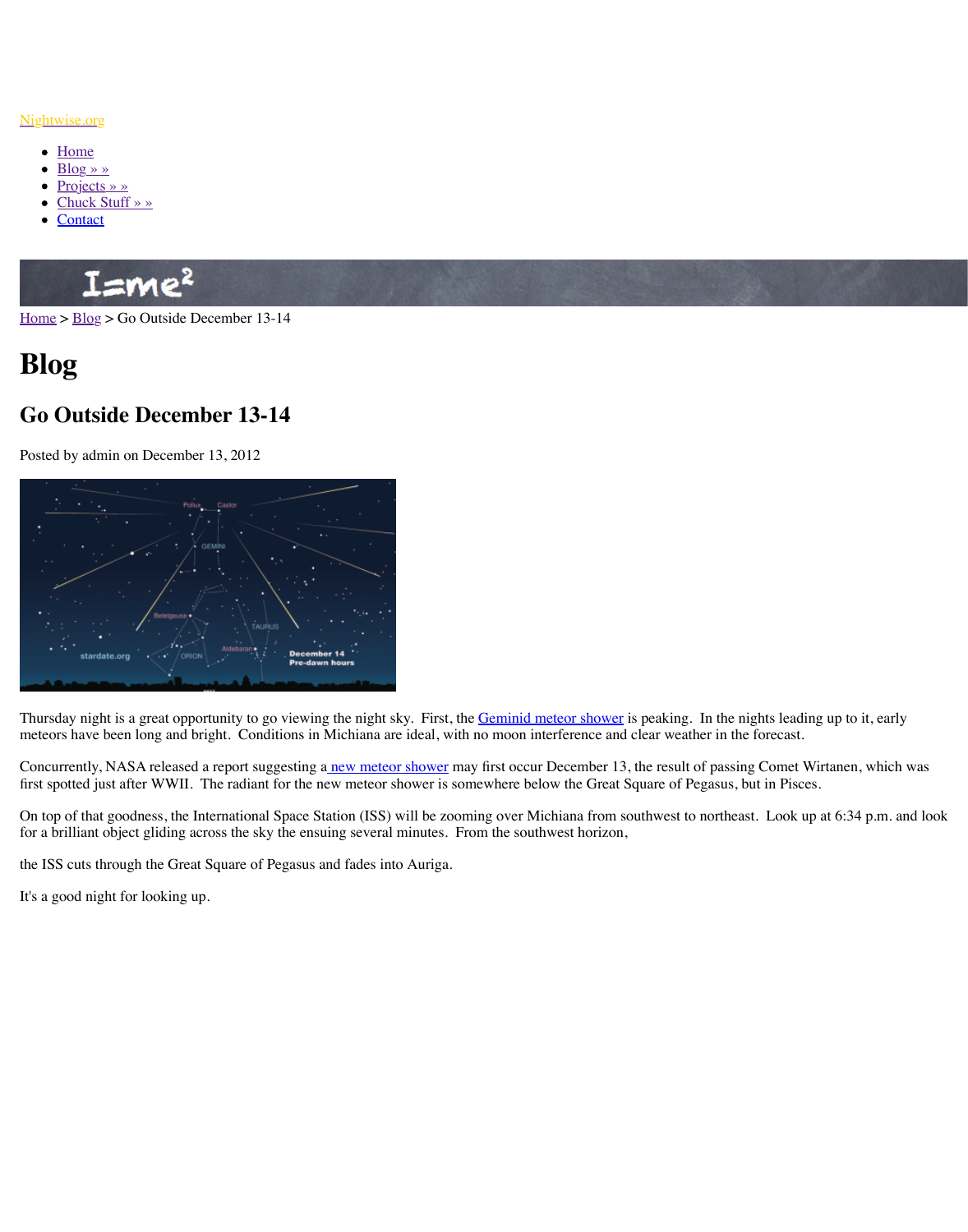

Thurs[day nigh](http://www.nightwise.org/contact/)t is a great opportunity to go viewing the night sky. First, the **Geminid meteor** meteors have been long and bright. Conditions in Michiana are ideal, with no moon interfer

Concurrently, NASA released a report suggesting a new meteor shower may first occur Dece first spotted just after WWII. The radiant for the new meteor shower is somewhere below th

[On top](http://www.nightwise.org/) [of that](http://www.nightwise.org/blog/) goodness, the International Space Station (ISS) will be zooming over Michian for a brilliant object gliding across the sky the ensuing several minutes. From the southwest

the ISS cuts through the Great Square of Pegasus and fades into Auriga.

It's a good night for looking up.